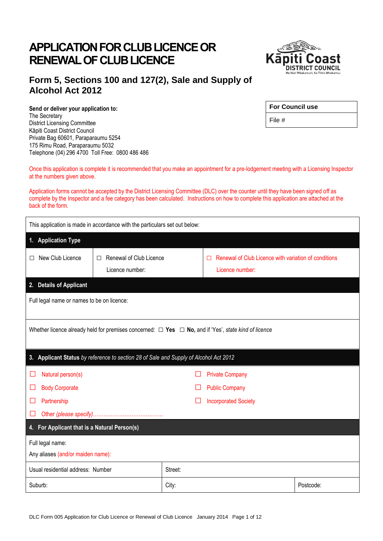# **APPLICATION FOR CLUB LICENCE OR RENEWAL OF CLUB LICENCE**



### **Form 5, Sections 100 and 127(2), Sale and Supply of Alcohol Act 2012**

**Send or deliver your application to:** The Secretary District Licensing Committee Kāpiti Coast District Council Private Bag 60601, Paraparaumu 5254 175 Rimu Road, Paraparaumu 5032 Telephone (04) 296 4700 Toll Free: 0800 486 486

| <b>For Council use</b> |  |
|------------------------|--|
|                        |  |

File #

Once this application is complete it is recommended that you make an appointment for a pre-lodgement meeting with a Licensing Inspector at the numbers given above.

Application forms cannot be accepted by the District Licensing Committee (DLC) over the counter until they have been signed off as complete by the Inspector and a fee category has been calculated. Instructions on how to complete this application are attached at the back of the form.

| This application is made in accordance with the particulars set out below:            |                              |         |                                                                                                                |           |
|---------------------------------------------------------------------------------------|------------------------------|---------|----------------------------------------------------------------------------------------------------------------|-----------|
| 1. Application Type                                                                   |                              |         |                                                                                                                |           |
| New Club Licence<br>$\Box$                                                            | Renewal of Club Licence<br>П |         | Renewal of Club Licence with variation of conditions<br>ப                                                      |           |
|                                                                                       | Licence number:              |         | Licence number:                                                                                                |           |
| 2. Details of Applicant                                                               |                              |         |                                                                                                                |           |
| Full legal name or names to be on licence:                                            |                              |         |                                                                                                                |           |
|                                                                                       |                              |         |                                                                                                                |           |
|                                                                                       |                              |         | Whether licence already held for premises concerned: $\Box$ Yes $\Box$ No, and if 'Yes', state kind of licence |           |
|                                                                                       |                              |         |                                                                                                                |           |
| 3. Applicant Status by reference to section 28 of Sale and Supply of Alcohol Act 2012 |                              |         |                                                                                                                |           |
| Natural person(s)<br>⊔                                                                |                              |         | <b>Private Company</b>                                                                                         |           |
| <b>Body Corporate</b><br>⊔                                                            |                              |         | <b>Public Company</b>                                                                                          |           |
| Partnership<br><b>Incorporated Society</b><br>H                                       |                              |         |                                                                                                                |           |
| n l                                                                                   |                              |         |                                                                                                                |           |
| 4. For Applicant that is a Natural Person(s)                                          |                              |         |                                                                                                                |           |
| Full legal name:                                                                      |                              |         |                                                                                                                |           |
| Any aliases (and/or maiden name):                                                     |                              |         |                                                                                                                |           |
| Usual residential address: Number                                                     |                              | Street: |                                                                                                                |           |
| Suburb:                                                                               |                              | City:   |                                                                                                                | Postcode: |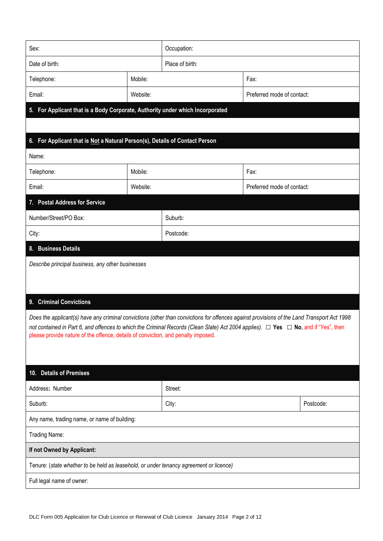| Sex:                                                                                                                                          |          | Occupation:     |                            |           |  |
|-----------------------------------------------------------------------------------------------------------------------------------------------|----------|-----------------|----------------------------|-----------|--|
| Date of birth:                                                                                                                                |          | Place of birth: |                            |           |  |
| Telephone:                                                                                                                                    | Mobile:  |                 | Fax:                       |           |  |
| Email:                                                                                                                                        | Website: |                 | Preferred mode of contact: |           |  |
| 5. For Applicant that is a Body Corporate, Authority under which Incorporated                                                                 |          |                 |                            |           |  |
|                                                                                                                                               |          |                 |                            |           |  |
| 6. For Applicant that is Not a Natural Person(s), Details of Contact Person                                                                   |          |                 |                            |           |  |
| Name:                                                                                                                                         |          |                 |                            |           |  |
| Telephone:                                                                                                                                    | Mobile:  |                 | Fax:                       |           |  |
| Email:                                                                                                                                        | Website: |                 | Preferred mode of contact: |           |  |
| 7. Postal Address for Service                                                                                                                 |          |                 |                            |           |  |
| Number/Street/PO Box:                                                                                                                         |          | Suburb:         |                            |           |  |
| City:                                                                                                                                         |          | Postcode:       |                            |           |  |
| 8. Business Details                                                                                                                           |          |                 |                            |           |  |
| Describe principal business, any other businesses                                                                                             |          |                 |                            |           |  |
|                                                                                                                                               |          |                 |                            |           |  |
| 9. Criminal Convictions                                                                                                                       |          |                 |                            |           |  |
| Does the applicant(s) have any criminal convictions (other than convictions for offences against provisions of the Land Transport Act 1998    |          |                 |                            |           |  |
| not contained in Part 6, and offences to which the Criminal Records (Clean Slate) Act 2004 applies). $\Box$ Yes $\Box$ No, and if "Yes", then |          |                 |                            |           |  |
| please provide nature of the offence, details of conviction, and penalty imposed.                                                             |          |                 |                            |           |  |
|                                                                                                                                               |          |                 |                            |           |  |
| 10. Details of Premises                                                                                                                       |          |                 |                            |           |  |
| Address: Number                                                                                                                               |          | Street:         |                            |           |  |
| Suburb:                                                                                                                                       |          | City:           |                            | Postcode: |  |
| Any name, trading name, or name of building:                                                                                                  |          |                 |                            |           |  |
| Trading Name:                                                                                                                                 |          |                 |                            |           |  |
| If not Owned by Applicant:                                                                                                                    |          |                 |                            |           |  |
| Tenure: (state whether to be held as leasehold, or under tenancy agreement or licence)                                                        |          |                 |                            |           |  |
| Full legal name of owner:                                                                                                                     |          |                 |                            |           |  |
|                                                                                                                                               |          |                 |                            |           |  |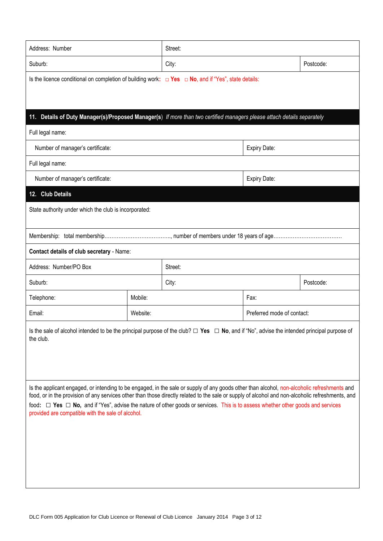| Address: Number                                                                                                                                                                                                                                                                                                                                                                                                                                                                          |          | Street: |                            |           |
|------------------------------------------------------------------------------------------------------------------------------------------------------------------------------------------------------------------------------------------------------------------------------------------------------------------------------------------------------------------------------------------------------------------------------------------------------------------------------------------|----------|---------|----------------------------|-----------|
| Suburb:                                                                                                                                                                                                                                                                                                                                                                                                                                                                                  | City:    |         | Postcode:                  |           |
| Is the licence conditional on completion of building work: $\Box$ Yes $\Box$ No, and if "Yes", state details:                                                                                                                                                                                                                                                                                                                                                                            |          |         |                            |           |
|                                                                                                                                                                                                                                                                                                                                                                                                                                                                                          |          |         |                            |           |
| Details of Duty Manager(s)/Proposed Manager(s) If more than two certified managers please attach details separately<br>11.                                                                                                                                                                                                                                                                                                                                                               |          |         |                            |           |
| Full legal name:                                                                                                                                                                                                                                                                                                                                                                                                                                                                         |          |         |                            |           |
| Number of manager's certificate:                                                                                                                                                                                                                                                                                                                                                                                                                                                         |          |         | <b>Expiry Date:</b>        |           |
| Full legal name:                                                                                                                                                                                                                                                                                                                                                                                                                                                                         |          |         |                            |           |
| Number of manager's certificate:                                                                                                                                                                                                                                                                                                                                                                                                                                                         |          |         | <b>Expiry Date:</b>        |           |
| <b>Club Details</b><br>12.                                                                                                                                                                                                                                                                                                                                                                                                                                                               |          |         |                            |           |
| State authority under which the club is incorporated:                                                                                                                                                                                                                                                                                                                                                                                                                                    |          |         |                            |           |
|                                                                                                                                                                                                                                                                                                                                                                                                                                                                                          |          |         |                            |           |
|                                                                                                                                                                                                                                                                                                                                                                                                                                                                                          |          |         |                            |           |
| Contact details of club secretary - Name:                                                                                                                                                                                                                                                                                                                                                                                                                                                |          |         |                            |           |
| Address: Number/PO Box                                                                                                                                                                                                                                                                                                                                                                                                                                                                   |          | Street: |                            |           |
| Suburb:                                                                                                                                                                                                                                                                                                                                                                                                                                                                                  |          | City:   |                            | Postcode: |
| Telephone:                                                                                                                                                                                                                                                                                                                                                                                                                                                                               | Mobile:  |         | Fax:                       |           |
| Email:                                                                                                                                                                                                                                                                                                                                                                                                                                                                                   | Website: |         | Preferred mode of contact: |           |
| Is the sale of alcohol intended to be the principal purpose of the club? $\Box$ Yes $\Box$ No, and if "No", advise the intended principal purpose of<br>the club.                                                                                                                                                                                                                                                                                                                        |          |         |                            |           |
| Is the applicant engaged, or intending to be engaged, in the sale or supply of any goods other than alcohol, non-alcoholic refreshments and<br>food, or in the provision of any services other than those directly related to the sale or supply of alcohol and non-alcoholic refreshments, and<br>food: □ Yes □ No, and if "Yes", advise the nature of other goods or services. This is to assess whether other goods and services<br>provided are compatible with the sale of alcohol. |          |         |                            |           |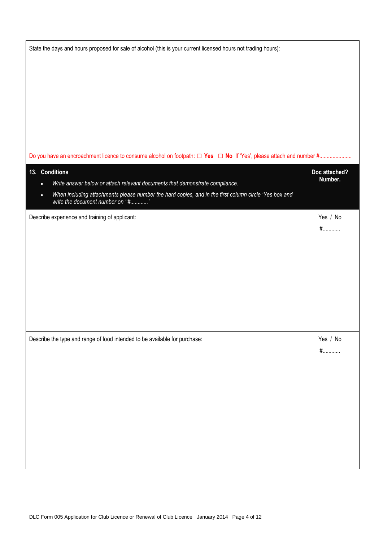| State the days and hours proposed for sale of alcohol (this is your current licensed hours not trading hours):                                                   |                          |
|------------------------------------------------------------------------------------------------------------------------------------------------------------------|--------------------------|
|                                                                                                                                                                  |                          |
|                                                                                                                                                                  |                          |
|                                                                                                                                                                  |                          |
|                                                                                                                                                                  |                          |
|                                                                                                                                                                  |                          |
|                                                                                                                                                                  |                          |
|                                                                                                                                                                  |                          |
| 13. Conditions<br>Write answer below or attach relevant documents that demonstrate compliance.                                                                   | Doc attached?<br>Number. |
| $\bullet$<br>When including attachments please number the hard copies, and in the first column circle 'Yes box and write the document number on '#'<br>$\bullet$ |                          |
|                                                                                                                                                                  |                          |
| Describe experience and training of applicant:                                                                                                                   | Yes / No                 |
|                                                                                                                                                                  | $#$                      |
|                                                                                                                                                                  |                          |
|                                                                                                                                                                  |                          |
|                                                                                                                                                                  |                          |
|                                                                                                                                                                  |                          |
|                                                                                                                                                                  |                          |
|                                                                                                                                                                  |                          |
| Describe the type and range of food intended to be available for purchase:                                                                                       | Yes / No                 |
|                                                                                                                                                                  | $#$                      |
|                                                                                                                                                                  |                          |
|                                                                                                                                                                  |                          |
|                                                                                                                                                                  |                          |
|                                                                                                                                                                  |                          |
|                                                                                                                                                                  |                          |
|                                                                                                                                                                  |                          |
|                                                                                                                                                                  |                          |
|                                                                                                                                                                  |                          |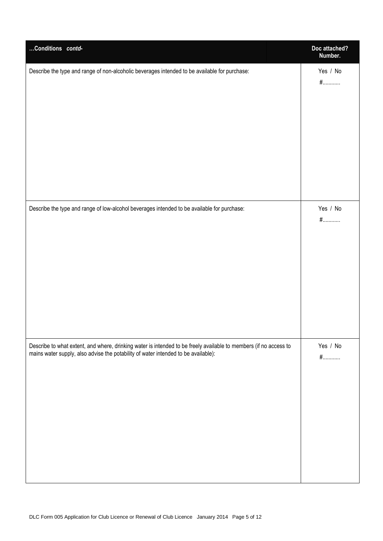| Conditions contd-                                                                                                                                                                                       | Doc attached?<br>Number. |
|---------------------------------------------------------------------------------------------------------------------------------------------------------------------------------------------------------|--------------------------|
| Describe the type and range of non-alcoholic beverages intended to be available for purchase:                                                                                                           | Yes / No<br>$#$          |
| Describe the type and range of low-alcohol beverages intended to be available for purchase:                                                                                                             | Yes / No<br>$#$          |
| Describe to what extent, and where, drinking water is intended to be freely available to members (if no access to<br>mains water supply, also advise the potability of water intended to be available): | Yes / No<br>$#$          |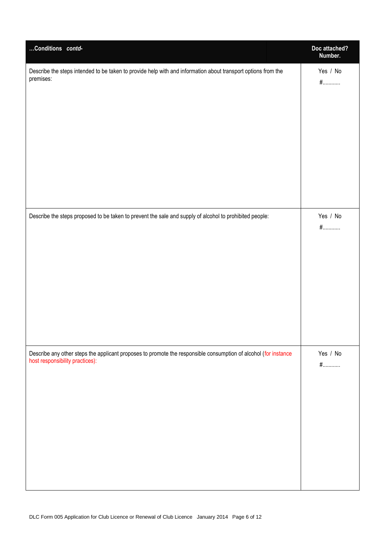| Conditions contd-                                                                                               | Doc attached?<br>Number. |
|-----------------------------------------------------------------------------------------------------------------|--------------------------|
| Describe the steps intended to be taken to provide help with and information about transport options from the   | Yes / No                 |
| premises:                                                                                                       | $#$                      |
| Describe the steps proposed to be taken to prevent the sale and supply of alcohol to prohibited people:         | Yes / No<br>$#$          |
| Describe any other steps the applicant proposes to promote the responsible consumption of alcohol (for instance | Yes / No                 |
| host responsibility practices):                                                                                 | $#$                      |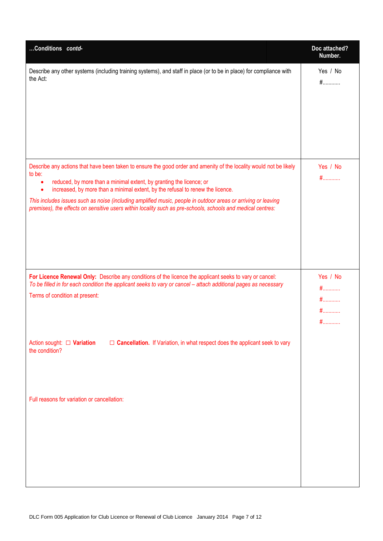| Conditions contd-                                                                                                                                                                                                                                                                                                                                                                                                                                                                                                          | Doc attached?<br>Number.             |
|----------------------------------------------------------------------------------------------------------------------------------------------------------------------------------------------------------------------------------------------------------------------------------------------------------------------------------------------------------------------------------------------------------------------------------------------------------------------------------------------------------------------------|--------------------------------------|
| Describe any other systems (including training systems), and staff in place (or to be in place) for compliance with<br>the Act:                                                                                                                                                                                                                                                                                                                                                                                            | Yes / No<br>$#$                      |
| Describe any actions that have been taken to ensure the good order and amenity of the locality would not be likely<br>to be:<br>reduced, by more than a minimal extent, by granting the licence; or<br>٠<br>increased, by more than a minimal extent, by the refusal to renew the licence.<br>This includes issues such as noise (including amplified music, people in outdoor areas or arriving or leaving<br>premises), the effects on sensitive users within locality such as pre-schools, schools and medical centres: | Yes / No<br>$#$                      |
| For Licence Renewal Only: Describe any conditions of the licence the applicant seeks to vary or cancel:<br>To be filled in for each condition the applicant seeks to vary or cancel - attach additional pages as necessary<br>Terms of condition at present:                                                                                                                                                                                                                                                               | Yes / No<br>$#$<br>$#$<br>$#$<br>$#$ |
| $\Box$ Cancellation. If Variation, in what respect does the applicant seek to vary<br>Action sought: $\Box$ Variation<br>the condition?                                                                                                                                                                                                                                                                                                                                                                                    |                                      |
| Full reasons for variation or cancellation:                                                                                                                                                                                                                                                                                                                                                                                                                                                                                |                                      |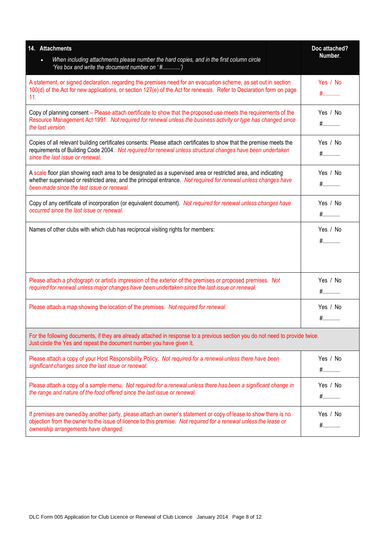| 14. Attachments                                                                                                                                                                                                                                                                | Doc attached?   |
|--------------------------------------------------------------------------------------------------------------------------------------------------------------------------------------------------------------------------------------------------------------------------------|-----------------|
| When including attachments please number the hard copies, and in the first column circle<br>'Yes box and write the document number on '#')                                                                                                                                     | Number.         |
| A statement, or signed declaration, regarding the premises need for an evacuation scheme, as set out in section<br>100(d) of the Act for new applications, or section 127(e) of the Act for renewals. Refer to Declaration form on page<br>11.                                 | Yes / No<br>$#$ |
| Copy of planning consent – Please attach certificate to show that the proposed use meets the requirements of the<br>Resource Management Act 1991. Not required for renewal unless the business activity or type has changed since<br>the last version.                         | Yes / No<br>$#$ |
| Copies of all relevant building certificates consents: Please attach certificates to show that the premise meets the<br>requirements of Building Code 2004. Not required for renewal unless structural changes have been undertaken<br>since the last issue or renewal.        | Yes / No<br>$#$ |
| A scale floor plan showing each area to be designated as a supervised area or restricted area, and indicating<br>whether supervised or restricted area; and the principal entrance. Not required for renewal unless changes have<br>been made since the last issue or renewal. | Yes / No<br>$#$ |
| Copy of any certificate of incorporation (or equivalent document). Not required for renewal unless changes have<br>occurred since the last issue or renewal.                                                                                                                   | Yes / No<br>$#$ |
| Names of other clubs with which club has reciprocal visiting rights for members:                                                                                                                                                                                               | Yes / No<br>$#$ |
| Please attach a photograph or artist's impression of the exterior of the premises or proposed premises. Not<br>required for renewal unless major changes have been undertaken since the last issue or renewal.                                                                 | Yes / No<br>$#$ |
| Please attach a map showing the location of the premises. Not required for renewal.                                                                                                                                                                                            | Yes / No<br>$#$ |
| For the following documents, if they are already attached in response to a previous section you do not need to provide twice.<br>Just circle the Yes and repeat the document number you have given it.                                                                         |                 |
| Please attach a copy of your Host Responsibility Policy. Not required for a renewal unless there have been<br>significant changes since the last issue or renewal.                                                                                                             | Yes / No<br>$#$ |
| Please attach a copy of a sample menu. Not required for a renewal unless there has been a significant change in<br>the range and nature of the food offered since the last issue or renewal.                                                                                   | Yes / No<br>$#$ |
| If premises are owned by another party, please attach an owner's statement or copy of lease to show there is no<br>objection from the owner to the issue of licence to this premise. Not required for a renewal unless the lease or<br>ownership arrangements have changed.    | Yes / No<br>$#$ |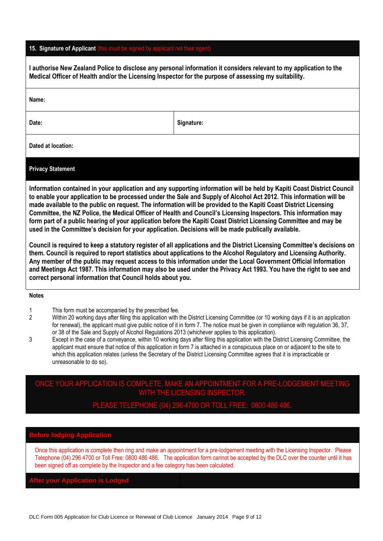### **15. Signature of Applicant (this must be signed by applicant not their agent)**

| I authorise New Zealand Police to disclose any personal information it considers relevant to my application to the<br>Medical Officer of Health and/or the Licensing Inspector for the purpose of assessing my suitability.                                                                                                                                                                                                                                                                                                                                                                                                                                                                                                                                                                                                                                                                                                                                                                                                                                                                                                                                                                                                                                                 |                                                                                                                                                                                      |                                                                                                                                                                                                                                                                                                                                                                                                                                                                                                                                                                                                                                                                                         |
|-----------------------------------------------------------------------------------------------------------------------------------------------------------------------------------------------------------------------------------------------------------------------------------------------------------------------------------------------------------------------------------------------------------------------------------------------------------------------------------------------------------------------------------------------------------------------------------------------------------------------------------------------------------------------------------------------------------------------------------------------------------------------------------------------------------------------------------------------------------------------------------------------------------------------------------------------------------------------------------------------------------------------------------------------------------------------------------------------------------------------------------------------------------------------------------------------------------------------------------------------------------------------------|--------------------------------------------------------------------------------------------------------------------------------------------------------------------------------------|-----------------------------------------------------------------------------------------------------------------------------------------------------------------------------------------------------------------------------------------------------------------------------------------------------------------------------------------------------------------------------------------------------------------------------------------------------------------------------------------------------------------------------------------------------------------------------------------------------------------------------------------------------------------------------------------|
| Name:                                                                                                                                                                                                                                                                                                                                                                                                                                                                                                                                                                                                                                                                                                                                                                                                                                                                                                                                                                                                                                                                                                                                                                                                                                                                       |                                                                                                                                                                                      |                                                                                                                                                                                                                                                                                                                                                                                                                                                                                                                                                                                                                                                                                         |
| Date:                                                                                                                                                                                                                                                                                                                                                                                                                                                                                                                                                                                                                                                                                                                                                                                                                                                                                                                                                                                                                                                                                                                                                                                                                                                                       |                                                                                                                                                                                      | Signature:                                                                                                                                                                                                                                                                                                                                                                                                                                                                                                                                                                                                                                                                              |
|                                                                                                                                                                                                                                                                                                                                                                                                                                                                                                                                                                                                                                                                                                                                                                                                                                                                                                                                                                                                                                                                                                                                                                                                                                                                             | Dated at location:                                                                                                                                                                   |                                                                                                                                                                                                                                                                                                                                                                                                                                                                                                                                                                                                                                                                                         |
|                                                                                                                                                                                                                                                                                                                                                                                                                                                                                                                                                                                                                                                                                                                                                                                                                                                                                                                                                                                                                                                                                                                                                                                                                                                                             | <b>Privacy Statement</b>                                                                                                                                                             |                                                                                                                                                                                                                                                                                                                                                                                                                                                                                                                                                                                                                                                                                         |
| Information contained in your application and any supporting information will be held by Kapiti Coast District Council<br>to enable your application to be processed under the Sale and Supply of Alcohol Act 2012. This information will be<br>made available to the public on request. The information will be provided to the Kapiti Coast District Licensing<br>Committee, the NZ Police, the Medical Officer of Health and Council's Licensing Inspectors. This information may<br>form part of a public hearing of your application before the Kapiti Coast District Licensing Committee and may be<br>used in the Committee's decision for your application. Decisions will be made publically available.<br>Council is required to keep a statutory register of all applications and the District Licensing Committee's decisions on<br>them. Council is required to report statistics about applications to the Alcohol Regulatory and Licensing Authority.<br>Any member of the public may request access to this information under the Local Government Official Information<br>and Meetings Act 1987. This information may also be used under the Privacy Act 1993. You have the right to see and<br>correct personal information that Council holds about you. |                                                                                                                                                                                      |                                                                                                                                                                                                                                                                                                                                                                                                                                                                                                                                                                                                                                                                                         |
| <b>Notes</b>                                                                                                                                                                                                                                                                                                                                                                                                                                                                                                                                                                                                                                                                                                                                                                                                                                                                                                                                                                                                                                                                                                                                                                                                                                                                |                                                                                                                                                                                      |                                                                                                                                                                                                                                                                                                                                                                                                                                                                                                                                                                                                                                                                                         |
| 1<br>$\overline{2}$<br>3                                                                                                                                                                                                                                                                                                                                                                                                                                                                                                                                                                                                                                                                                                                                                                                                                                                                                                                                                                                                                                                                                                                                                                                                                                                    | This form must be accompanied by the prescribed fee.<br>or 38 of the Sale and Supply of Alcohol Regulations 2013 (whichever applies to this application).<br>unreasonable to do so). | Within 20 working days after filing this application with the District Licensing Committee (or 10 working days if it is an application<br>for renewal), the applicant must give public notice of it in form 7. The notice must be given in compliance with regulation 36, 37,<br>Except in the case of a conveyance, within 10 working days after filing this application with the District Licensing Committee, the<br>applicant must ensure that notice of this application in form 7 is attached in a conspicuous place on or adjacent to the site to<br>which this application relates (unless the Secretary of the District Licensing Committee agrees that it is impracticable or |

## ONCE YOUR APPLICATION IS COMPLETE, MAKE AN APPOINTMENT FOR A PRE-LODGEMENT MEETING WITH THE LICENSING INSPECTOR.

PLEASE TELEPHONE (04) 296 4700 OR TOLL FREE: 0800 486 486.

## **Before lodging Application**

Once this application is complete then ring and make an appointment for a pre-lodgement meeting with the Licensing Inspector. Please Telephone (04) 296 4700 or Toll Free: 0800 486 486. The application form cannot be accepted by the DLC over the counter until it has been signed off as complete by the Inspector and a fee category has been calculated.

**After your Application is Lodged**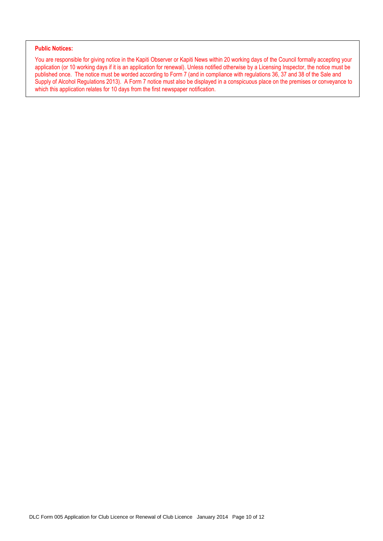#### **Public Notices:**

You are responsible for giving notice in the Kapiti Observer or Kapiti News within 20 working days of the Council formally accepting your application (or 10 working days if it is an application for renewal). Unless notified otherwise by a Licensing Inspector, the notice must be published once. The notice must be worded according to Form 7 (and in compliance with regulations 36, 37 and 38 of the Sale and Supply of Alcohol Regulations 2013). A Form 7 notice must also be displayed in a conspicuous place on the premises or conveyance to which this application relates for 10 days from the first newspaper notification.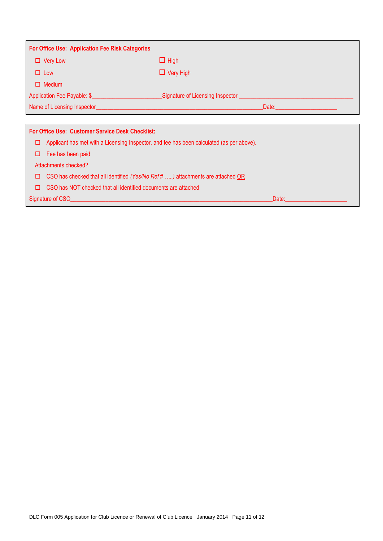| <b>For Office Use: Application Fee Risk Categories</b>                                                                                                                                                                               |                                                                                                                                                                                |  |
|--------------------------------------------------------------------------------------------------------------------------------------------------------------------------------------------------------------------------------------|--------------------------------------------------------------------------------------------------------------------------------------------------------------------------------|--|
| $\Box$ Very Low                                                                                                                                                                                                                      | $\Box$ High                                                                                                                                                                    |  |
| $\Box$ Low                                                                                                                                                                                                                           | $\Box$ Very High                                                                                                                                                               |  |
| $\Box$ Medium                                                                                                                                                                                                                        |                                                                                                                                                                                |  |
| Application Fee Payable: \$                                                                                                                                                                                                          |                                                                                                                                                                                |  |
| Name of Licensing Inspector <b>Contract Contract Contract Contract Contract Contract Contract Contract Contract Contract Contract Contract Contract Contract Contract Contract Contract Contract Contract Contract Contract Cont</b> | Date: <b>Date: Date: Date: Date: Date: Date: Date: Date: Date: Date: Date: Date: Date: Date: Date: Date: Date: Date: Date: Date: Date: Date: Date: Date: Date: Date: Date:</b> |  |
|                                                                                                                                                                                                                                      |                                                                                                                                                                                |  |
| <b>For Office Use: Customer Service Desk Checklist:</b>                                                                                                                                                                              |                                                                                                                                                                                |  |
| Applicant has met with a Licensing Inspector, and fee has been calculated (as per above).<br>□                                                                                                                                       |                                                                                                                                                                                |  |
| Fee has been paid<br>□                                                                                                                                                                                                               |                                                                                                                                                                                |  |
| Attachments checked?                                                                                                                                                                                                                 |                                                                                                                                                                                |  |
| CSO has checked that all identified (Yes/No Ref # ) attachments are attached OR<br>□                                                                                                                                                 |                                                                                                                                                                                |  |
| CSO has NOT checked that all identified documents are attached<br>□                                                                                                                                                                  |                                                                                                                                                                                |  |
| Signature of CSO                                                                                                                                                                                                                     | Date:                                                                                                                                                                          |  |